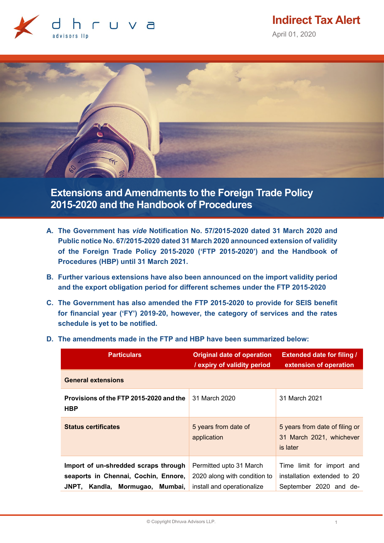

**Indirect Tax Alert**

April 01, 2020



**Extensions and Amendments to the Foreign Trade Policy 2015-2020 and the Handbook of Procedures**

- **A. The Government has** *vide* **Notification No. 57/2015-2020 dated 31 March 2020 and Public notice No. 67/2015-2020 dated 31 March 2020 announced extension of validity of the Foreign Trade Policy 2015-2020 ('FTP 2015-2020') and the Handbook of Procedures (HBP) until 31 March 2021.**
- **B. Further various extensions have also been announced on the import validity period and the export obligation period for different schemes under the FTP 2015-2020**
- **C. The Government has also amended the FTP 2015-2020 to provide for SEIS benefit for financial year ('FY') 2019-20, however, the category of services and the rates schedule is yet to be notified.**

| <b>Particulars</b>                                                                                              | <b>Original date of operation</b><br>/ expiry of validity period                      | <b>Extended date for filing /</b><br>extension of operation                        |
|-----------------------------------------------------------------------------------------------------------------|---------------------------------------------------------------------------------------|------------------------------------------------------------------------------------|
| <b>General extensions</b>                                                                                       |                                                                                       |                                                                                    |
| Provisions of the FTP 2015-2020 and the<br><b>HBP</b>                                                           | 31 March 2020                                                                         | 31 March 2021                                                                      |
| <b>Status certificates</b>                                                                                      | 5 years from date of<br>application                                                   | 5 years from date of filing or<br>31 March 2021, whichever<br>is later             |
| Import of un-shredded scraps through<br>seaports in Chennai, Cochin, Ennore,<br>JNPT, Kandla, Mormugao, Mumbai, | Permitted upto 31 March<br>2020 along with condition to<br>install and operationalize | Time limit for import and<br>installation extended to 20<br>September 2020 and de- |

**D. The amendments made in the FTP and HBP have been summarized below:**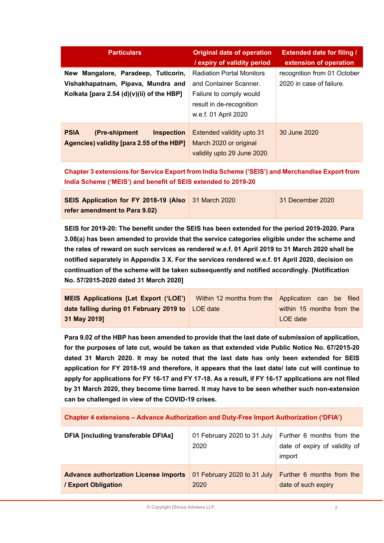| <b>Particulars</b>                                                                                                     | <b>Original date of operation</b><br>/ expiry of validity period                                                                          | <b>Extended date for filing /</b><br>extension of operation |
|------------------------------------------------------------------------------------------------------------------------|-------------------------------------------------------------------------------------------------------------------------------------------|-------------------------------------------------------------|
| New Mangalore, Paradeep, Tuticorin,<br>Vishakhapatnam, Pipava, Mundra and<br>Kolkata [para 2.54 (d)(v)(ii) of the HBP] | <b>Radiation Portal Monitors</b><br>and Container Scanner.<br>Failure to comply would<br>result in de-recognition<br>w.e.f. 01 April 2020 | recognition from 01 October<br>2020 in case of failure.     |
| <b>PSIA</b><br>(Pre-shipment)<br><b>Inspection</b><br>Agencies) validity [para 2.55 of the HBP]                        | Extended validity upto 31<br>March 2020 or original<br>validity upto 29 June 2020                                                         | 30 June 2020                                                |

**Chapter 3 extensions for Service Export from India Scheme ('SEIS') and Merchandise Export from India Scheme ('MEIS') and benefit of SEIS extended to 2019-20**

| SEIS Application for FY 2018-19 (Also 31 March 2020 | $\mid$ 31 December 2020 |
|-----------------------------------------------------|-------------------------|
| refer amendment to Para 9.02)                       |                         |

**SEIS for 2019-20: The benefit under the SEIS has been extended for the period 2019-2020. Para 3.08(a) has been amended to provide that the service categories eligible under the scheme and the rates of reward on such services as rendered w.e.f. 01 April 2019 to 31 March 2020 shall be notified separately in Appendix 3 X. For the services rendered w.e.f. 01 April 2020, decision on continuation of the scheme will be taken subsequently and notified accordingly. [Notification No. 57/2015-2020 dated 31 March 2020]**

| <b>MEIS Applications [Let Export ('LOE')</b>     | Within 12 months from the Application can be filed |
|--------------------------------------------------|----------------------------------------------------|
| date falling during 01 February 2019 to LOE date | within 15 months from the                          |
| 31 May 2019]                                     | LOE date                                           |

**Para 9.02 of the HBP has been amended to provide that the last date of submission of application, for the purposes of late cut, would be taken as that extended vide Public Notice No. 67/2015-20 dated 31 March 2020. It may be noted that the last date has only been extended for SEIS application for FY 2018-19 and therefore, it appears that the last date/ late cut will continue to apply for applications for FY 16-17 and FY 17-18. As a result, if FY 16-17 applications are not filed by 31 March 2020, they become time barred. It may have to be seen whether such non-extension can be challenged in view of the COVID-19 crises.**

**Chapter 4 extensions – Advance Authorization and Duty-Free Import Authorization ('DFIA')**

| <b>DFIA [including transferable DFIAs]</b>   | 01 February 2020 to 31 July<br>2020 | Further 6 months from the<br>date of expiry of validity of<br>import |
|----------------------------------------------|-------------------------------------|----------------------------------------------------------------------|
| <b>Advance authorization License imports</b> | 01 February 2020 to 31 July         | Further 6 months from the                                            |
| / Export Obligation                          | 2020                                | date of such expiry                                                  |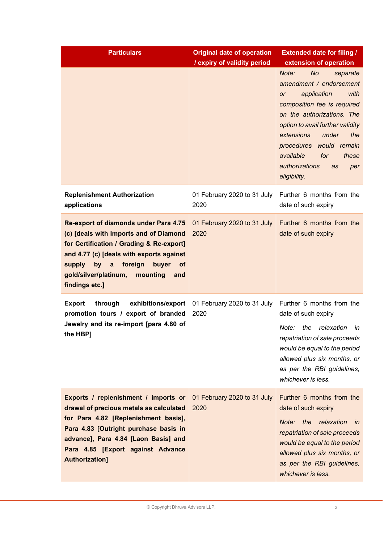| <b>Particulars</b>                                                                                                                                                                                                                                                                       | <b>Original date of operation</b><br>/ expiry of validity period | <b>Extended date for filing /</b><br>extension of operation                                                                                                                                                                                                                                                                         |
|------------------------------------------------------------------------------------------------------------------------------------------------------------------------------------------------------------------------------------------------------------------------------------------|------------------------------------------------------------------|-------------------------------------------------------------------------------------------------------------------------------------------------------------------------------------------------------------------------------------------------------------------------------------------------------------------------------------|
|                                                                                                                                                                                                                                                                                          |                                                                  | Note:<br><b>No</b><br>separate<br>amendment / endorsement<br>application<br>with<br><b>or</b><br>composition fee is required<br>on the authorizations. The<br>option to avail further validity<br>extensions<br>under<br>the<br>procedures would remain<br>available<br>for<br>these<br>authorizations<br>as<br>per<br>eligibility. |
| <b>Replenishment Authorization</b><br>applications                                                                                                                                                                                                                                       | 01 February 2020 to 31 July<br>2020                              | Further 6 months from the<br>date of such expiry                                                                                                                                                                                                                                                                                    |
| Re-export of diamonds under Para 4.75<br>(c) [deals with Imports and of Diamond<br>for Certification / Grading & Re-export]<br>and 4.77 (c) [deals with exports against<br>by a<br>foreign<br>buyer<br>supply<br><b>of</b><br>gold/silver/platinum,<br>mounting<br>and<br>findings etc.] | 01 February 2020 to 31 July<br>2020                              | Further 6 months from the<br>date of such expiry                                                                                                                                                                                                                                                                                    |
| exhibitions/export<br><b>Export</b><br>through<br>promotion tours / export of branded<br>Jewelry and its re-import [para 4.80 of<br>the HBP]                                                                                                                                             | 01 February 2020 to 31 July<br>2020                              | Further 6 months from the<br>date of such expiry<br>Note:<br>the relaxation<br>in<br>repatriation of sale proceeds<br>would be equal to the period<br>allowed plus six months, or<br>as per the RBI guidelines,<br>whichever is less.                                                                                               |
| Exports / replenishment / imports or<br>drawal of precious metals as calculated<br>for Para 4.82 [Replenishment basis],<br>Para 4.83 [Outright purchase basis in<br>advance], Para 4.84 [Laon Basis] and<br>Para 4.85 [Export against Advance<br><b>Authorization]</b>                   | 01 February 2020 to 31 July<br>2020                              | Further 6 months from the<br>date of such expiry<br>the<br>relaxation<br>Note:<br>in<br>repatriation of sale proceeds<br>would be equal to the period<br>allowed plus six months, or<br>as per the RBI guidelines,<br>whichever is less.                                                                                            |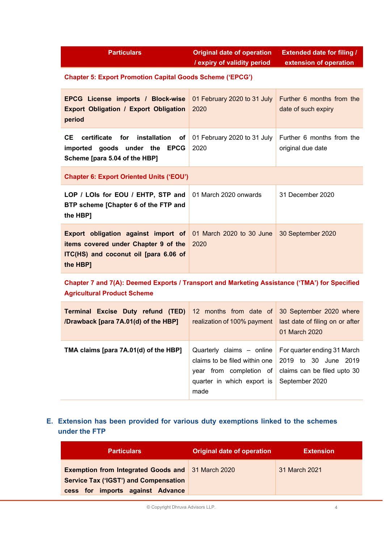| <b>Particulars</b> | Original date of operation  | <b>Extended date for filing /</b> |
|--------------------|-----------------------------|-----------------------------------|
|                    | / expiry of validity period | extension of operation            |

# **Chapter 5: Export Promotion Capital Goods Scheme ('EPCG')**

| <b>EPCG License imports / Block-wise</b><br><b>Export Obligation / Export Obligation</b><br>period                                                               | 01 February 2020 to 31 July<br>2020 | Further 6 months from the<br>date of such expiry |
|------------------------------------------------------------------------------------------------------------------------------------------------------------------|-------------------------------------|--------------------------------------------------|
| CE<br>installation of<br>certificate<br>for<br>imported goods under the EPCG<br>Scheme [para 5.04 of the HBP]                                                    | 01 February 2020 to 31 July<br>2020 | Further 6 months from the<br>original due date   |
| <b>Chapter 6: Export Oriented Units ('EOU')</b>                                                                                                                  |                                     |                                                  |
| LOP / LOIs for EOU / EHTP, STP and<br>BTP scheme [Chapter 6 of the FTP and<br>the HBP]                                                                           | 01 March 2020 onwards               | 31 December 2020                                 |
| <b>Export obligation against import of 01 March 2020 to 30 June</b><br>items covered under Chapter 9 of the<br>ITC(HS) and coconut oil [para 6.06 of<br>the HBP] | 2020                                | 30 September 2020                                |
| Chapter 7 and 7(A): Deemed Exports / Transport and Marketing Assistance ('TMA') for Specified                                                                    |                                     |                                                  |

**Agricultural Product Scheme**

| <b>Terminal Excise Duty refund (TED)</b><br>/Drawback [para 7A.01(d) of the HBP] | 12 months from date of 30 September 2020 where                                                            | realization of 100% payment   last date of filing on or after<br>01 March 2020                                 |
|----------------------------------------------------------------------------------|-----------------------------------------------------------------------------------------------------------|----------------------------------------------------------------------------------------------------------------|
| TMA claims [para 7A.01(d) of the HBP]                                            | claims to be filed within one   2019 to 30 June 2019<br>quarter in which export is September 2020<br>made | Quarterly claims $-$ online For quarter ending 31 March<br>year from completion of claims can be filed upto 30 |

# **E. Extension has been provided for various duty exemptions linked to the schemes under the FTP**

| <b>Particulars</b>                                                                                                                           | <b>Original date of operation</b> | <b>Extension</b> |
|----------------------------------------------------------------------------------------------------------------------------------------------|-----------------------------------|------------------|
| <b>Exemption from Integrated Goods and 31 March 2020</b><br><b>Service Tax ('IGST') and Compensation</b><br>cess for imports against Advance |                                   | 31 March 2021    |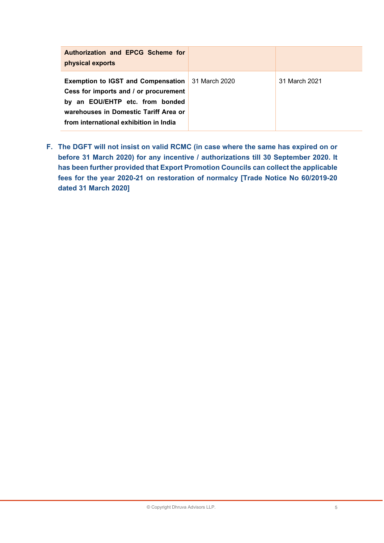| Authorization and EPCG Scheme for<br>physical exports                                                                                                                                                                  |               |
|------------------------------------------------------------------------------------------------------------------------------------------------------------------------------------------------------------------------|---------------|
| <b>Exemption to IGST and Compensation</b> 31 March 2020<br>Cess for imports and / or procurement<br>by an EOU/EHTP etc. from bonded<br>warehouses in Domestic Tariff Area or<br>from international exhibition in India | 31 March 2021 |

**F. The DGFT will not insist on valid RCMC (in case where the same has expired on or before 31 March 2020) for any incentive / authorizations till 30 September 2020. It has been further provided that Export Promotion Councils can collect the applicable fees for the year 2020-21 on restoration of normalcy [Trade Notice No 60/2019-20 dated 31 March 2020]**